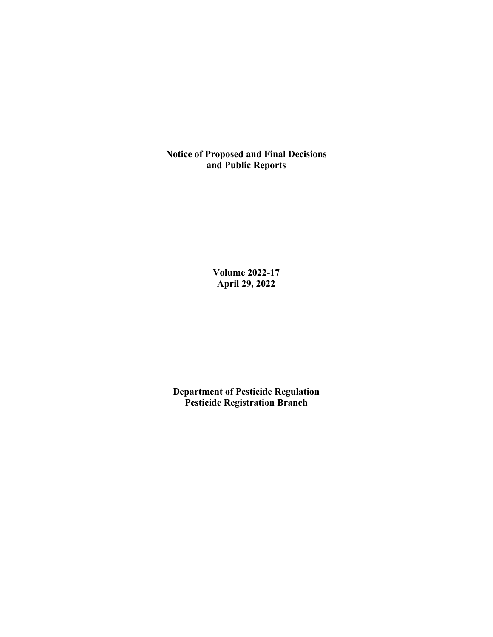**Notice of Proposed and Final Decisions and Public Reports**

> **Volume 2022-17 April 29, 2022**

**Department of Pesticide Regulation Pesticide Registration Branch**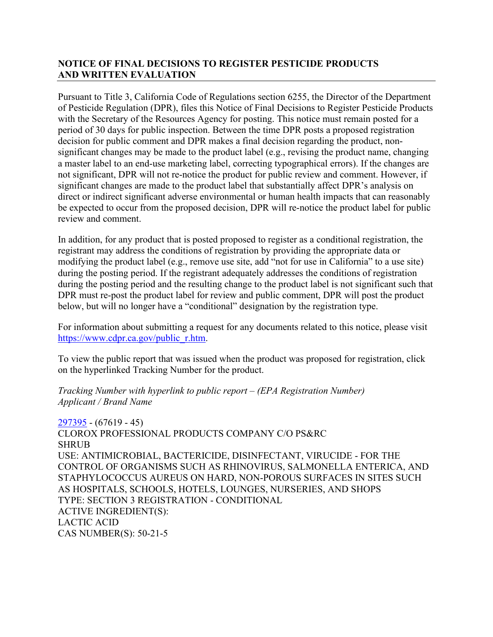# **NOTICE OF FINAL DECISIONS TO REGISTER PESTICIDE PRODUCTS AND WRITTEN EVALUATION**

Pursuant to Title 3, California Code of Regulations section 6255, the Director of the Department of Pesticide Regulation (DPR), files this Notice of Final Decisions to Register Pesticide Products with the Secretary of the Resources Agency for posting. This notice must remain posted for a period of 30 days for public inspection. Between the time DPR posts a proposed registration decision for public comment and DPR makes a final decision regarding the product, nonsignificant changes may be made to the product label (e.g., revising the product name, changing a master label to an end-use marketing label, correcting typographical errors). If the changes are not significant, DPR will not re-notice the product for public review and comment. However, if significant changes are made to the product label that substantially affect DPR's analysis on direct or indirect significant adverse environmental or human health impacts that can reasonably be expected to occur from the proposed decision, DPR will re-notice the product label for public review and comment.

In addition, for any product that is posted proposed to register as a conditional registration, the registrant may address the conditions of registration by providing the appropriate data or modifying the product label (e.g., remove use site, add "not for use in California" to a use site) during the posting period. If the registrant adequately addresses the conditions of registration during the posting period and the resulting change to the product label is not significant such that DPR must re-post the product label for review and public comment, DPR will post the product below, but will no longer have a "conditional" designation by the registration type.

For information about submitting a request for any documents related to this notice, please visit [https://www.cdpr.ca.gov/public\\_r.htm.](https://www.cdpr.ca.gov/public_r.htm)

To view the public report that was issued when the product was proposed for registration, click on the hyperlinked Tracking Number for the product.

#### *Tracking Number with hyperlink to public report – (EPA Registration Number) Applicant / Brand Name*

[297395](https://www.cdpr.ca.gov/docs/registration/nod/public_reports/297395.pdf) - (67619 - 45) CLOROX PROFESSIONAL PRODUCTS COMPANY C/O PS&RC SHRUB USE: ANTIMICROBIAL, BACTERICIDE, DISINFECTANT, VIRUCIDE - FOR THE CONTROL OF ORGANISMS SUCH AS RHINOVIRUS, SALMONELLA ENTERICA, AND STAPHYLOCOCCUS AUREUS ON HARD, NON-POROUS SURFACES IN SITES SUCH AS HOSPITALS, SCHOOLS, HOTELS, LOUNGES, NURSERIES, AND SHOPS TYPE: SECTION 3 REGISTRATION - CONDITIONAL ACTIVE INGREDIENT(S): LACTIC ACID CAS NUMBER(S): 50-21-5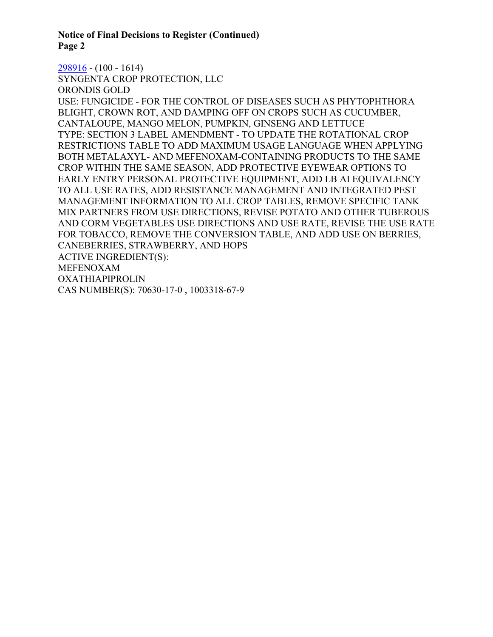**Notice of Final Decisions to Register (Continued) Page 2** 

[298916](https://www.cdpr.ca.gov/docs/registration/nod/public_reports/298916.pdf) - (100 - 1614) SYNGENTA CROP PROTECTION, LLC ORONDIS GOLD USE: FUNGICIDE - FOR THE CONTROL OF DISEASES SUCH AS PHYTOPHTHORA BLIGHT, CROWN ROT, AND DAMPING OFF ON CROPS SUCH AS CUCUMBER, CANTALOUPE, MANGO MELON, PUMPKIN, GINSENG AND LETTUCE TYPE: SECTION 3 LABEL AMENDMENT - TO UPDATE THE ROTATIONAL CROP RESTRICTIONS TABLE TO ADD MAXIMUM USAGE LANGUAGE WHEN APPLYING BOTH METALAXYL- AND MEFENOXAM-CONTAINING PRODUCTS TO THE SAME CROP WITHIN THE SAME SEASON, ADD PROTECTIVE EYEWEAR OPTIONS TO EARLY ENTRY PERSONAL PROTECTIVE EQUIPMENT, ADD LB AI EQUIVALENCY TO ALL USE RATES, ADD RESISTANCE MANAGEMENT AND INTEGRATED PEST MANAGEMENT INFORMATION TO ALL CROP TABLES, REMOVE SPECIFIC TANK MIX PARTNERS FROM USE DIRECTIONS, REVISE POTATO AND OTHER TUBEROUS AND CORM VEGETABLES USE DIRECTIONS AND USE RATE, REVISE THE USE RATE FOR TOBACCO, REMOVE THE CONVERSION TABLE, AND ADD USE ON BERRIES, CANEBERRIES, STRAWBERRY, AND HOPS ACTIVE INGREDIENT(S): MEFENOXAM OXATHIAPIPROLIN CAS NUMBER(S): 70630-17-0 , 1003318-67-9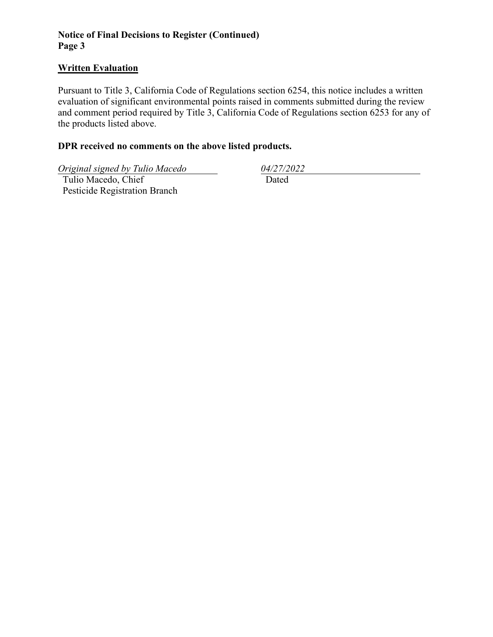# **Notice of Final Decisions to Register (Continued) Page 3**

### **Written Evaluation**

Pursuant to Title 3, California Code of Regulations section 6254, this notice includes a written evaluation of significant environmental points raised in comments submitted during the review and comment period required by Title 3, California Code of Regulations section 6253 for any of the products listed above.

### **DPR received no comments on the above listed products.**

*Original signed by Tulio Macedo 04/27/2022* 

 Tulio Macedo, Chief Pesticide Registration Branch

Dated